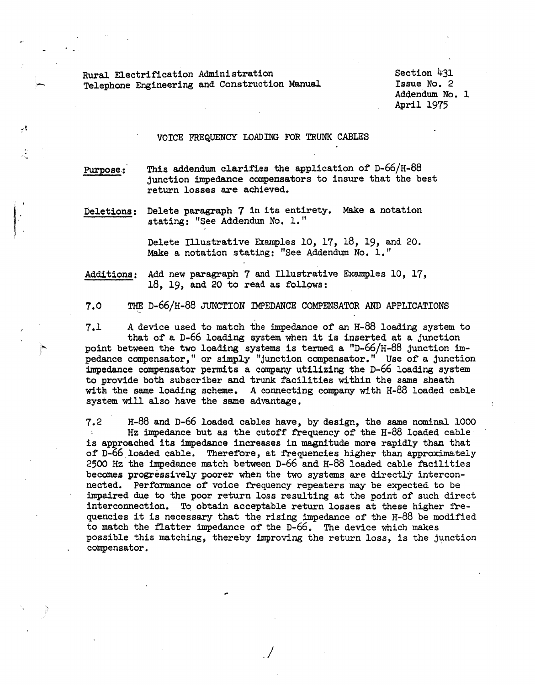Rural Electrification Administration Telephone Engineering and Construction Manual

Section 431 Issue No. 2 Addendum No. 1 April 1975

## VOICE FREQUENCY LOADING FOR TRUNK CABLES

Purpose.: This addendum clarifies the application of  $D-66/H-88$ junction impedance compensators to insure that the best return losses are achieved.

Deletions: Delete paragraph 7 in its entirety, Make a. notation stating: "See Addendum No. 1."

> Delete Illustrative Examples 10, 17, 18, 19, and 20. Make a. notation stating: "See Addendum No, 1."

Additions: Add new paragraph 7 and Illustrative Examples 10, 17,  $18, 19,$  and 20 to read as follows:

7.0 ~ D-66/H-88 JUNCTION IMPEDANCE COMPENSATOR AND APPLICATIONS

 $7.1$  A device used to match the impedance of an H-88 loading system to that of a D-66 loading system when it is inserted at a junction point between the two loading systems is termed a "D-66/H-88 junction impedance compensator," or simply "junction compensator." Use of a junction impedance compensator permits a company utilizing the D-66 loading system to provide both subscriber and trunk facilities within the same sheath with the same loading scheme. A connecting company with H-88 loaded cable system will also have the same advantage,

7.2 H-88 and D-66 loaded cables have, by design, the same nominal 1000 Hz impedance but as the cutoff frequency of the H-88 loaded cable is approached its impedance increases in magnitude more rapidly than that of D-66 loaded cable. Therefore, at frequencies higher than approximately 2500 Hz the impedance match between D-66 and H-88 loaded cable facilities becomes progressively poorer when the two systems are directly interconnected. Performance of voice frequency repeaters may be expected to be impaired due to the poor return loss resulting at the point of such direct interconnection. To obtain acceptable return losses at these higher frequencies it is necessary that the rising impedance of the H-88 be modified to match the flatter impedance of the D-66. The device which makes possible this matching, thereby improving the return loss, is the junction compensator.

./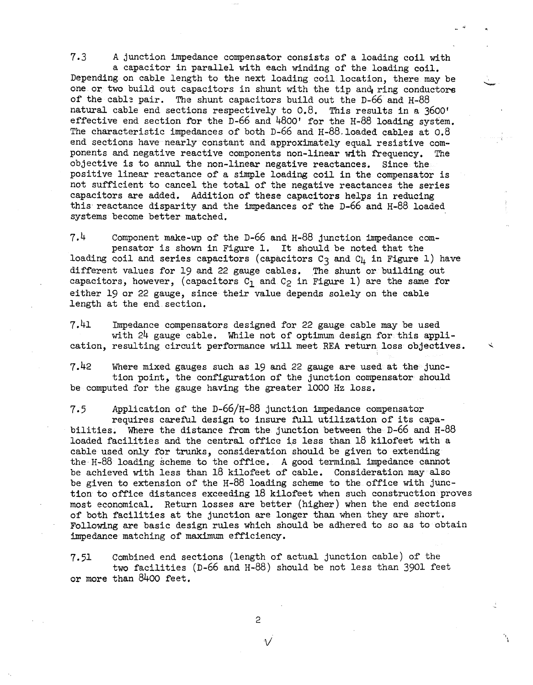7.3 *A* junction impedance compensator consists of a loading coil with a capacitor in parallel with each winding of the loading coil. Depending on cable length to the next loading coil location, there may be one or two build out capacitors in shunt with the tip and ring conductors of the cable pair. The shunt capacitors build out the D-66 and H-88 natural cable end sections respectively to 0.8. This results in a 3600' effective end section for the D-66 and 4800' for the H-88 loading system. The characteristic impedances of both D-66 and H-88. loaded cables at 0.8 end sections have nearly constant and approximately equal resistive components and negative reactive components non-linear with frequency. The objective is to annul the non-linear negative reactances. Since the positive linear reactance of a simple loading coil in the compensator is not sufficient to cancel the total of the negative reactances the series capacitors are added. Addition of these capacitors helps in reducing this reactance disparity and the impedances of the D-66 and H-88 loaded systems become better matched.

7,4 Component make-up of the D-66 and H-88 junction impedance compensator is shown in Figure 1. It should be noted that the loading coil and series capacitors (capacitors  $C_3$  and  $C_4$  in Figure 1) have different values for 19 and 22 gauge cables. The shunt or building out capacitors, however, (capacitors  $C_1$  and  $C_2$  in Figure 1) are the same for either 19 or 22 gauge, since their value depends solely on the cable length at the end section.

7.41 Impedance compensators designed for 22 gauge cable may be used with  $24$  gauge cable. While not of optimum design for this application, resulting circuit performance will meet REA return loss objectives. <sup>~</sup>

7.42 Where mixed gauges such as 19 and 22 gauge are used at the junction point, the configuration of the junction compensator should be computed for the gauge having the greater 1000 Hz loss,

7.5 Application of the D-66/H-88 junction impedance compensator requires careful design to insure full utilization of its capabilities. Where the distance from the junction between the  $D-66$  and  $H-88$ loaded facilities and the central office is less than 18 kilofeet with a cable used only for trunks, consideration should be given to extending the H-88 loading scheme to the office, A good terminal impedance cannot be achieved with less than 18 kilofeet of cable. Consideration may also be given to extension of the H-88 loading scheme to the office with junction to office distances exceeding 18 kilofeet when such construction proves most economical. Return losses are better (higher) when the end sections of both facilities at the junction are longer thao when they are short. Following are basic design rules which should be adhered to so as to obtain impedance matching of maximum efficiency.

7.51 Combined end sections (length of actual junction cable) of the two facilities (D-66 and H-88) should be not less than 3901 feet or more than 8400 feet.

2

 $\sqrt{2}$ 

\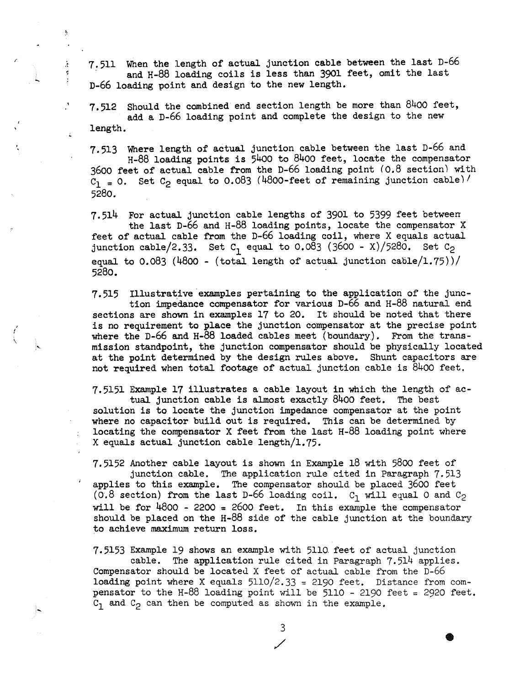7.511 When the length of actual junction cable between the last D-66 and H-88 loading coils is less than 3901 feet, omit the last D-66 loading point and design to the new length.

7.512 Should the combined end section length be more than 8400 feet, add a D-66 loading point and complete the design to the new length.

7.513 Where length of actual junction cable between the last D-66 and H-88 loading points is 54oo to 8400 feet, locate the compensator 3600 feet of actual cable from the D-66 loading point *(0.8* section) with  $C_1 = 0$ . Set  $C_2$  equal to 0.083 (4800-feet of remaining junction cable)/ 5280.

7.514 For actual junction cable lengths of 3901 to 5399 feet between the last D-66 and H-88 loading points, locate the compensator X feet of actual cable from the D-66 loading coil, where X equals actual junction cable/2.33. Set  $C_1$  equal to 0.083 (3600 - X)/5280. Set  $C_2$ equal to  $0.083$  (4800 - (total length of actual junction cable/1.75))/ 5280.

7.515 Illustrative examples pertaining to the application of the junction impedance compensator for various D-66 and H-88 natural end sections are shown in examples 17 to 20. It should be noted that there is no requirement to place the junction compensator at the precise point where the D-66 and H-88 loaded cables meet (boundary). From the transmission standpoint, the junction compensator should be physically located at the point determined by the design rules above. Shunt capacitors are not required when total footage of actual junction cable is 8400 feet.

, I  $\check{a}$ 

 $\mathbf{r}$ 

 $\ddot{\chi}$ 

7.5151 Example 17 illustrates a cable layout in which the length of actual. junction cable is almost exactly 8400 feet. The best solution is to locate the junction impedance compensator at the point where no capacitor build out is required. This can be determined by locating the compensator X feet from the last H-88 loading point where X equals actual junction cable length/1.75.

7.5152 Another cable layout is shown in Example 18 with 5800 feet of junction cable. The application rule cited in Paragraph 7.513 applies to this example. The compensator should be placed 3600 feet (0.8 section) from the last D-66 loading coil.  $C_1$  will equal 0 and  $C_2$ will be for  $4800 - 2200 = 2600$  feet. In this example the compensator should be placed on the  $H-\delta\delta$  side of the cable junction at the boundary to achieve maximum return loss.

7.5153 Example 19 shows an example with 5110. feet of actual junction cable. The application rule cited in Paragraph  $7.514$  applies. Compensator should be located X feet of actual cable from the D-66 loading point where X equals  $5110/2.33 = 2190$  feet. Distance from compensator to the H-88 loading point will be 5110 - 2190 feet = 2920 feet.  $C_1$  and  $C_2$  can then be computed as shown in the example.

3

 $\overline{\phantom{a}}$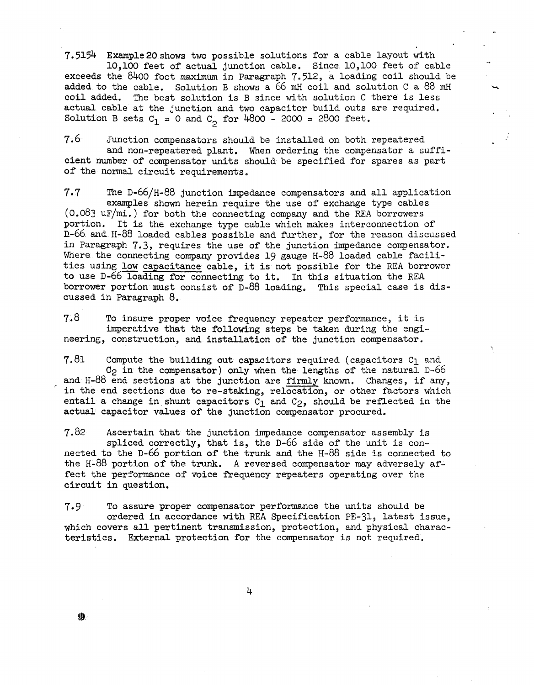7.5154 Example20shows two possible solutions for a cable layout with

10,100 feet of actual junction cable. Since 10,100 feet *or* cable exceeds the 8400 foot maximum in Paragraph 7.512, a loading coil should be added to the cable. Solution B shows a 66 mH coil and solution C a 88 mH coil added. The best solution is B since with solution C there is less actual cable at the junction and two capacitor build outs are required. Solution B sets  $C_1 = 0$  and  $C_2$  for 4800 - 2000 = 2800 feet.

7.6 Junction compensators should be installed on both repeatered and non-repeatered plant. When ordering the compensator a sufficient number of compensator units should be specified for spares as part of the normal circuit requirements.

7.7 The D-66/H-88 junction impedance compensators and all application examples shown herein require the use of exchange type cables (0.083 uF/mi.) for both the connecting company and the REA borrowers portion. It is the exchange type cable which makes interconnection of n-66 and H-88 loaded cables possible and further, for the reason discussed in Paragraph 7.3, requires the use of the junction impedance compensator. Where the connecting company provides 19 gauge H-88 loaded cable facilities using low capacitance cable, it is not possible for the REA borrower to use D-66 loading for connecting to it. In this situation the REA borrower portion must consist of D-88 loading. This special case is discussed in Paragraph 8.

7.8 To insure proper voice frequency repeater performance, it is imperative that the following steps be taken during the engineering, construction, and installation of the junction compensator.

7.81 Compute the building out capacitors required (capacitors  $C_1$  and  $C_2$  in the compensator) only when the lengths of the natural D-66 and H-88 end sections at the junction are firmly known. Changes, if any, in the end sections due to re-staking, relocation, or other factors which entail a change in shunt capacitors  $C_1$  and  $C_2$ , should be reflected in the actual capacitor values of the junction compensator procured.

7,82 Ascertain that the junction impedance compensator assembly is spliced correctly, that is, the D-66 side of the unit is connected to the D-66 portion of the trunk and the H-88 side is connected to the H-88 portion of the trunk. A reversed compensator may adversely affect the performance of voice frequency repeaters operating over the circuit in question.

7.9 To assure proper compensator performance the units should be ordered in accordance with REA Specification PE-31, latest issue, which covers all pertinent transmission, protection, and physical characteristics. External protection for the compensator is not required.

4

特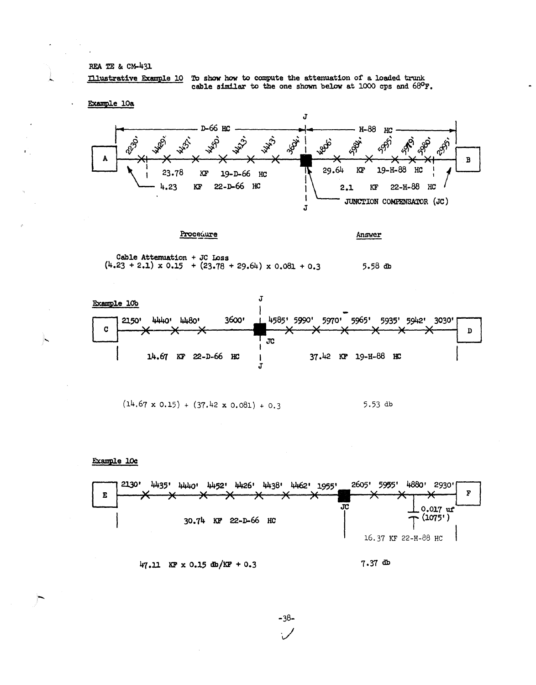## REA TE & CM-431

Illustrative Example 10 To show how to compute the attenuation of a loaded trunk cable similar to the one shown below at 1000 cps and 68°F.

Example 10a





Answer

Cable Attenuation + JC Loss  $(4.23 + 2.1) \times 0.15 + (23.78 + 29.64) \times 0.081 + 0.3$  $5.58$  db



$$
(14.67 \times 0.15) + (37.42 \times 0.081) + 0.3
$$
 5.53 db

Example 10c

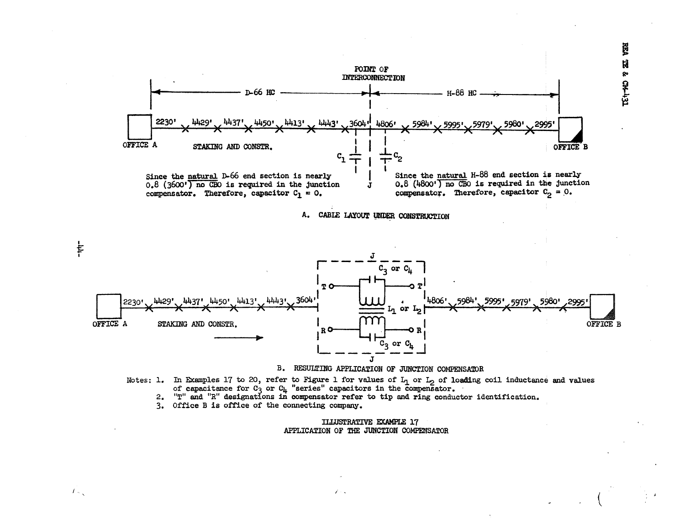毘 Ħ  $E + 40$  ?



- Notes: 1. In Examples 17 to 20, refer to Figure 1 for values of  $L_1$  or  $L_2$  of loading coil inductance and values of capacitance for  $C_3$  or  $C_{L_1}$  "series" capacitors in the compensator.<br>2. "T" and "R" designations
	-

 $\ell$  .

3. Office B is office of the connecting company.

 $-111 -$ 

 $f_{\infty}$ 

## **ILLUSTRATIVE EXAMPLE 17** APPLICATION OF THE JUNCTION COMPENSATOR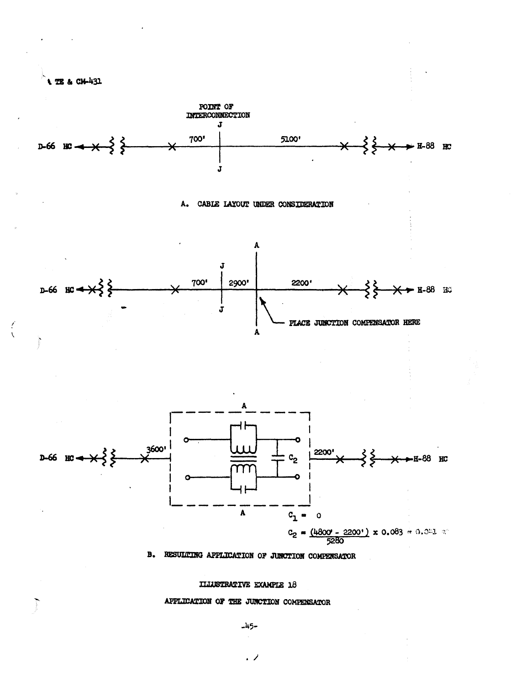

Ţ

 $\overline{\mathbf{X}}$ 

 $\sum_{i=1}^{n}$ 

**ILLUSTRATIVE EXAMPLE 18** 

APPLICATION OF THE JUNCTION COMPENSATOR

 $-45-$ 

 $\cdot$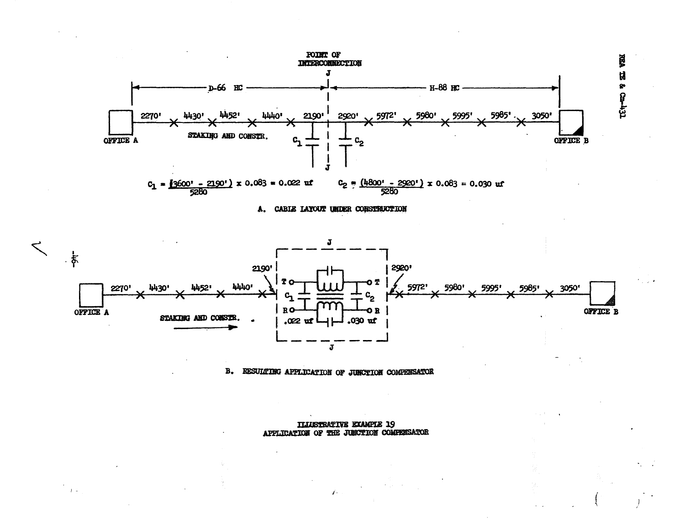





RESULTING APPLICATION OF JUNCTION COMPENSATOR **B.** 

> **ILIUSTRATIVE EXAMPLE 19** APPLICATION OF THE JUNCTION COMPENSATOR